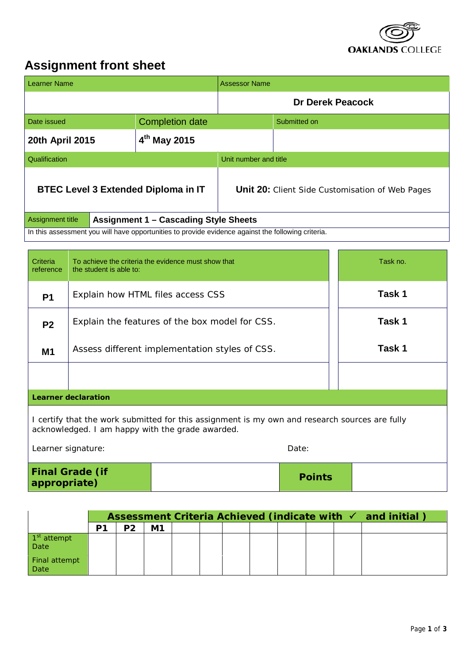

## **Assignment front sheet**

| <b>Learner Name</b>                                                                                                        |  |                        | <b>Assessor Name</b>                                   |              |  |  |
|----------------------------------------------------------------------------------------------------------------------------|--|------------------------|--------------------------------------------------------|--------------|--|--|
|                                                                                                                            |  |                        | <b>Dr Derek Peacock</b>                                |              |  |  |
| Date issued                                                                                                                |  | <b>Completion date</b> |                                                        | Submitted on |  |  |
| $4th$ May 2015<br>20th April 2015                                                                                          |  |                        |                                                        |              |  |  |
| Qualification                                                                                                              |  |                        | Unit number and title                                  |              |  |  |
| <b>BTEC Level 3 Extended Diploma in IT</b>                                                                                 |  |                        | <b>Unit 20:</b> Client Side Customisation of Web Pages |              |  |  |
| Assignment title<br><b>Assignment 1 - Cascading Style Sheets</b>                                                           |  |                        |                                                        |              |  |  |
| In this assessment you will have opportunities to provide evidence against the following criteria.                         |  |                        |                                                        |              |  |  |
| Task no.<br><b>Criteria</b><br>To achieve the criteria the evidence must show that<br>the student is able to:<br>reference |  |                        |                                                        |              |  |  |

# **Learner declaration**

I certify that the work submitted for this assignment is my own and research sources are fully acknowledged. I am happy with the grade awarded.

**P1** Explain how HTML files access CSS **Task 1** 

**P2** Explain the features of the box model for CSS. **Task 1** 

**M1** Assess different implementation styles of CSS. **Task 1** 

| Learner signature:                     | Date:         |  |
|----------------------------------------|---------------|--|
| <b>Final Grade (if</b><br>appropriate) | <b>Points</b> |  |

|                                 | Assessment Criteria Achieved (indicate with $\checkmark$ and initial) |                |  |  |  |  |  |  |  |
|---------------------------------|-----------------------------------------------------------------------|----------------|--|--|--|--|--|--|--|
|                                 | P <sub>2</sub>                                                        | M <sub>1</sub> |  |  |  |  |  |  |  |
| 1 <sup>st</sup> attempt<br>Date |                                                                       |                |  |  |  |  |  |  |  |
| Final attempt<br>Date           |                                                                       |                |  |  |  |  |  |  |  |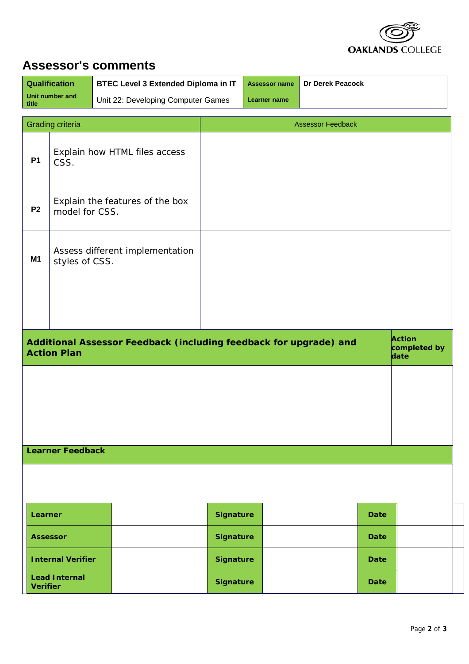

# **Assessor's comments**

| Qualification                                                       |                                                       | <b>BTEC Level 3 Extended Diploma in IT</b>                        | Dr Derek Peacock<br><b>Assessor name</b> |              |                          |             |                                |
|---------------------------------------------------------------------|-------------------------------------------------------|-------------------------------------------------------------------|------------------------------------------|--------------|--------------------------|-------------|--------------------------------|
| title                                                               | Unit number and<br>Unit 22: Developing Computer Games |                                                                   |                                          | Learner name |                          |             |                                |
| <b>Grading criteria</b>                                             |                                                       |                                                                   |                                          |              | <b>Assessor Feedback</b> |             |                                |
| <b>P1</b>                                                           | Explain how HTML files access<br>CSS.                 |                                                                   |                                          |              |                          |             |                                |
| Explain the features of the box<br>P <sub>2</sub><br>model for CSS. |                                                       |                                                                   |                                          |              |                          |             |                                |
| Assess different implementation<br><b>M1</b><br>styles of CSS.      |                                                       |                                                                   |                                          |              |                          |             |                                |
|                                                                     |                                                       |                                                                   |                                          |              |                          |             |                                |
|                                                                     | <b>Action Plan</b>                                    | Additional Assessor Feedback (including feedback for upgrade) and |                                          |              |                          |             | Action<br>completed by<br>date |
|                                                                     |                                                       |                                                                   |                                          |              |                          |             |                                |
|                                                                     | <b>Learner Feedback</b>                               |                                                                   |                                          |              |                          |             |                                |
|                                                                     |                                                       |                                                                   |                                          |              |                          |             |                                |
| Learner                                                             |                                                       |                                                                   | <b>Signature</b>                         |              |                          | <b>Date</b> |                                |
|                                                                     | <b>Assessor</b>                                       |                                                                   | <b>Signature</b>                         |              |                          | <b>Date</b> |                                |
|                                                                     | <b>Internal Verifier</b>                              |                                                                   | <b>Signature</b>                         |              |                          | <b>Date</b> |                                |
| <b>Verifier</b>                                                     | <b>Lead Internal</b>                                  |                                                                   | <b>Signature</b>                         |              |                          | <b>Date</b> |                                |